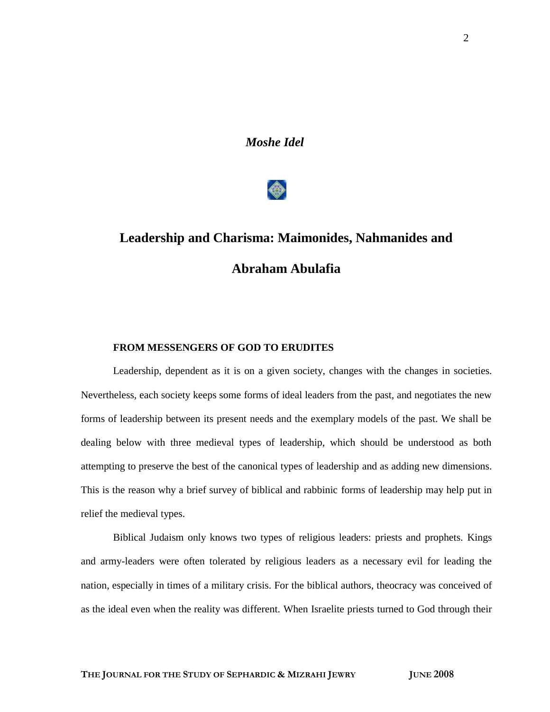*Moshe Idel*



# **Leadership and Charisma: Maimonides, Nahmanides and Abraham Abulafia**

## **FROM MESSENGERS OF GOD TO ERUDITES**

Leadership, dependent as it is on a given society, changes with the changes in societies. Nevertheless, each society keeps some forms of ideal leaders from the past, and negotiates the new forms of leadership between its present needs and the exemplary models of the past. We shall be dealing below with three medieval types of leadership, which should be understood as both attempting to preserve the best of the canonical types of leadership and as adding new dimensions. This is the reason why a brief survey of biblical and rabbinic forms of leadership may help put in relief the medieval types.

Biblical Judaism only knows two types of religious leaders: priests and prophets. Kings and army-leaders were often tolerated by religious leaders as a necessary evil for leading the nation, especially in times of a military crisis. For the biblical authors, theocracy was conceived of as the ideal even when the reality was different. When Israelite priests turned to God through their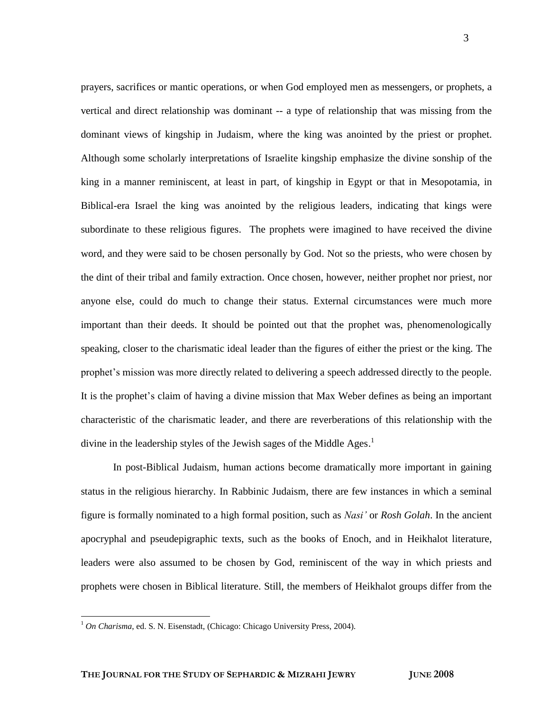prayers, sacrifices or mantic operations, or when God employed men as messengers, or prophets, a vertical and direct relationship was dominant -- a type of relationship that was missing from the dominant views of kingship in Judaism, where the king was anointed by the priest or prophet. Although some scholarly interpretations of Israelite kingship emphasize the divine sonship of the king in a manner reminiscent, at least in part, of kingship in Egypt or that in Mesopotamia, in Biblical-era Israel the king was anointed by the religious leaders, indicating that kings were subordinate to these religious figures. The prophets were imagined to have received the divine word, and they were said to be chosen personally by God. Not so the priests, who were chosen by the dint of their tribal and family extraction. Once chosen, however, neither prophet nor priest, nor anyone else, could do much to change their status. External circumstances were much more important than their deeds. It should be pointed out that the prophet was, phenomenologically speaking, closer to the charismatic ideal leader than the figures of either the priest or the king. The prophet"s mission was more directly related to delivering a speech addressed directly to the people. It is the prophet"s claim of having a divine mission that Max Weber defines as being an important characteristic of the charismatic leader, and there are reverberations of this relationship with the divine in the leadership styles of the Jewish sages of the Middle Ages.<sup>1</sup>

In post-Biblical Judaism, human actions become dramatically more important in gaining status in the religious hierarchy. In Rabbinic Judaism, there are few instances in which a seminal figure is formally nominated to a high formal position, such as *Nasi'* or *Rosh Golah*. In the ancient apocryphal and pseudepigraphic texts, such as the books of Enoch, and in Heikhalot literature, leaders were also assumed to be chosen by God, reminiscent of the way in which priests and prophets were chosen in Biblical literature. Still, the members of Heikhalot groups differ from the

<sup>1</sup> *On Charisma*, ed. S. N. Eisenstadt, (Chicago: Chicago University Press, 2004).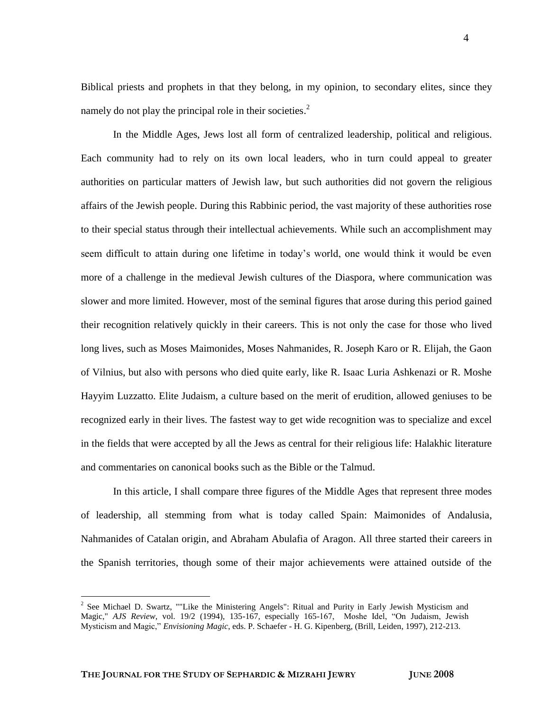Biblical priests and prophets in that they belong, in my opinion, to secondary elites, since they namely do not play the principal role in their societies.<sup>2</sup>

In the Middle Ages, Jews lost all form of centralized leadership, political and religious. Each community had to rely on its own local leaders, who in turn could appeal to greater authorities on particular matters of Jewish law, but such authorities did not govern the religious affairs of the Jewish people. During this Rabbinic period, the vast majority of these authorities rose to their special status through their intellectual achievements. While such an accomplishment may seem difficult to attain during one lifetime in today"s world, one would think it would be even more of a challenge in the medieval Jewish cultures of the Diaspora, where communication was slower and more limited. However, most of the seminal figures that arose during this period gained their recognition relatively quickly in their careers. This is not only the case for those who lived long lives, such as Moses Maimonides, Moses Nahmanides, R. Joseph Karo or R. Elijah, the Gaon of Vilnius, but also with persons who died quite early, like R. Isaac Luria Ashkenazi or R. Moshe Hayyim Luzzatto. Elite Judaism, a culture based on the merit of erudition, allowed geniuses to be recognized early in their lives. The fastest way to get wide recognition was to specialize and excel in the fields that were accepted by all the Jews as central for their religious life: Halakhic literature and commentaries on canonical books such as the Bible or the Talmud.

In this article, I shall compare three figures of the Middle Ages that represent three modes of leadership, all stemming from what is today called Spain: Maimonides of Andalusia, Nahmanides of Catalan origin, and Abraham Abulafia of Aragon. All three started their careers in the Spanish territories, though some of their major achievements were attained outside of the

<sup>&</sup>lt;sup>2</sup> See Michael D. Swartz, ""Like the Ministering Angels": Ritual and Purity in Early Jewish Mysticism and Magic," *AJS Review*, vol. 19/2 (1994), 135-167, especially 165-167, Moshe Idel, "On Judaism, Jewish Mysticism and Magic," *Envisioning Magic*, eds. P. Schaefer - H. G. Kipenberg, (Brill, Leiden, 1997), 212-213.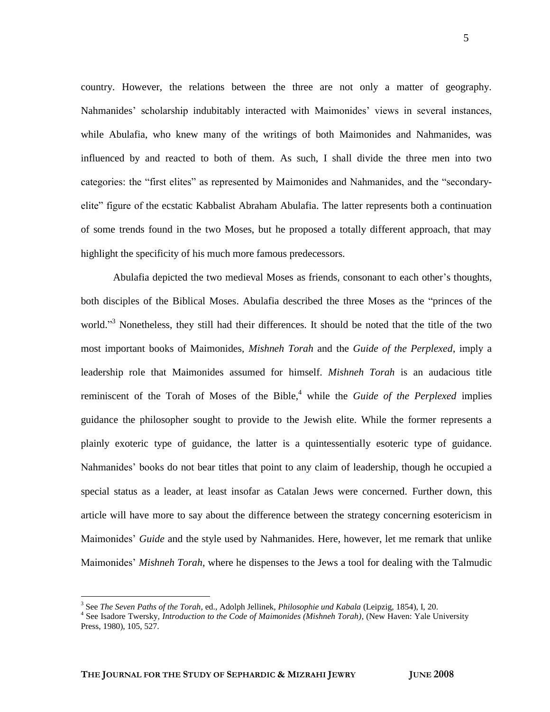country. However, the relations between the three are not only a matter of geography. Nahmanides' scholarship indubitably interacted with Maimonides' views in several instances, while Abulafia, who knew many of the writings of both Maimonides and Nahmanides, was influenced by and reacted to both of them. As such, I shall divide the three men into two categories: the "first elites" as represented by Maimonides and Nahmanides, and the "secondaryelite" figure of the ecstatic Kabbalist Abraham Abulafia. The latter represents both a continuation of some trends found in the two Moses, but he proposed a totally different approach, that may highlight the specificity of his much more famous predecessors.

Abulafia depicted the two medieval Moses as friends, consonant to each other"s thoughts, both disciples of the Biblical Moses. Abulafia described the three Moses as the "princes of the world."<sup>3</sup> Nonetheless, they still had their differences. It should be noted that the title of the two most important books of Maimonides, *Mishneh Torah* and the *Guide of the Perplexed*, imply a leadership role that Maimonides assumed for himself. *Mishneh Torah* is an audacious title reminiscent of the Torah of Moses of the Bible, <sup>4</sup> while the *Guide of the Perplexed* implies guidance the philosopher sought to provide to the Jewish elite. While the former represents a plainly exoteric type of guidance, the latter is a quintessentially esoteric type of guidance. Nahmanides" books do not bear titles that point to any claim of leadership, though he occupied a special status as a leader, at least insofar as Catalan Jews were concerned. Further down, this article will have more to say about the difference between the strategy concerning esotericism in Maimonides" *Guide* and the style used by Nahmanides. Here, however, let me remark that unlike Maimonides" *Mishneh Torah*, where he dispenses to the Jews a tool for dealing with the Talmudic

<sup>3</sup> See *The Seven Paths of the Torah*, ed., Adolph Jellinek, *Philosophie und Kabala* (Leipzig, 1854), I, 20.

<sup>4</sup> See Isadore Twersky, *Introduction to the Code of Maimonides (Mishneh Torah)*, (New Haven: Yale University Press, 1980), 105, 527.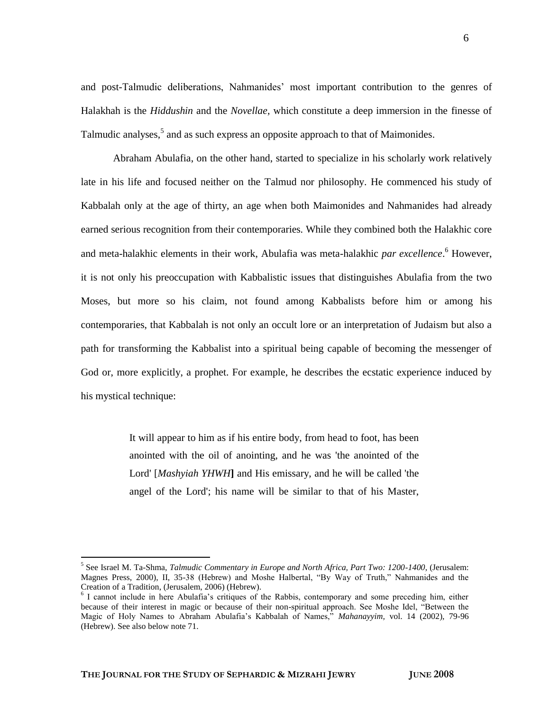and post-Talmudic deliberations, Nahmanides" most important contribution to the genres of Halakhah is the *Hiddushin* and the *Novellae,* which constitute a deep immersion in the finesse of Talmudic analyses,<sup>5</sup> and as such express an opposite approach to that of Maimonides.

Abraham Abulafia, on the other hand, started to specialize in his scholarly work relatively late in his life and focused neither on the Talmud nor philosophy. He commenced his study of Kabbalah only at the age of thirty, an age when both Maimonides and Nahmanides had already earned serious recognition from their contemporaries. While they combined both the Halakhic core and meta-halakhic elements in their work, Abulafia was meta-halakhic *par excellence*. <sup>6</sup> However, it is not only his preoccupation with Kabbalistic issues that distinguishes Abulafia from the two Moses, but more so his claim, not found among Kabbalists before him or among his contemporaries, that Kabbalah is not only an occult lore or an interpretation of Judaism but also a path for transforming the Kabbalist into a spiritual being capable of becoming the messenger of God or, more explicitly, a prophet. For example, he describes the ecstatic experience induced by his mystical technique:

> It will appear to him as if his entire body, from head to foot, has been anointed with the oil of anointing, and he was 'the anointed of the Lord' [*Mashyiah YHWH***]** and His emissary, and he will be called 'the angel of the Lord'; his name will be similar to that of his Master,

<sup>5</sup> See Israel M. Ta-Shma, *Talmudic Commentary in Europe and North Africa, Part Two: 1200-1400*, (Jerusalem: Magnes Press, 2000), II, 35-38 (Hebrew) and Moshe Halbertal, "By Way of Truth," Nahmanides and the Creation of a Tradition, (Jerusalem, 2006) (Hebrew).

<sup>&</sup>lt;sup>6</sup> I cannot include in here Abulafia's critiques of the Rabbis, contemporary and some preceding him, either because of their interest in magic or because of their non-spiritual approach. See Moshe Idel, "Between the Magic of Holy Names to Abraham Abulafia"s Kabbalah of Names," *Mahanayyim,* vol. 14 (2002), 79-96 (Hebrew). See also below note 71.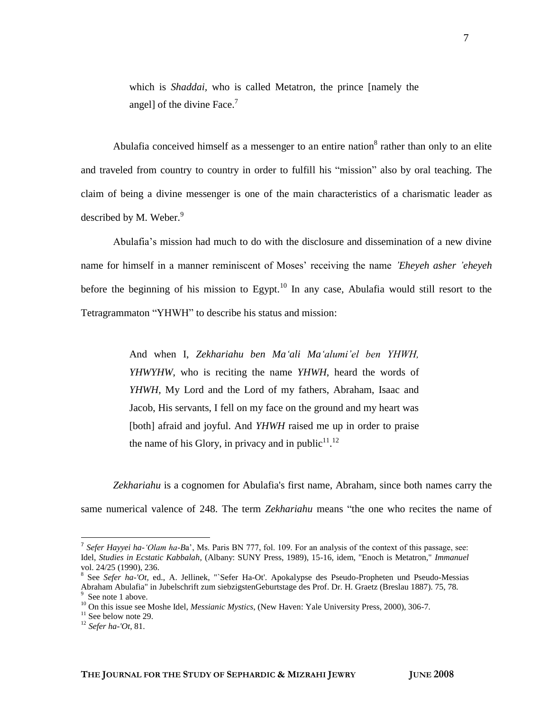which is *Shaddai,* who is called Metatron, the prince [namely the angel] of the divine Face.<sup>7</sup>

Abulafia conceived himself as a messenger to an entire nation<sup>8</sup> rather than only to an elite and traveled from country to country in order to fulfill his "mission" also by oral teaching. The claim of being a divine messenger is one of the main characteristics of a charismatic leader as described by M. Weber. $9$ 

Abulafia"s mission had much to do with the disclosure and dissemination of a new divine name for himself in a manner reminiscent of Moses" receiving the name *'Eheyeh asher 'eheyeh* before the beginning of his mission to Egypt.<sup>10</sup> In any case, Abulafia would still resort to the Tetragrammaton "YHWH" to describe his status and mission:

> And when I, *Zekhariahu ben Ma'ali Ma'alumi'el ben YHWH, YHWYHW*, who is reciting the name *YHWH*, heard the words of *YHWH,* My Lord and the Lord of my fathers, Abraham, Isaac and Jacob, His servants, I fell on my face on the ground and my heart was [both] afraid and joyful. And *YHWH* raised me up in order to praise the name of his Glory, in privacy and in public<sup>11</sup>.<sup>12</sup>

*Zekhariahu* is a cognomen for Abulafia's first name, Abraham, since both names carry the same numerical valence of 248. The term *Zekhariahu* means "the one who recites the name of

<sup>&</sup>lt;sup>7</sup> Sefer Hayyei ha-'Olam ha-Ba', Ms. Paris BN 777, fol. 109. For an analysis of the context of this passage, see: Idel, *Studies in Ecstatic Kabbalah*, (Albany: SUNY Press, 1989), 15-16, idem, "Enoch is Metatron," *Immanuel* vol. 24/25 (1990), 236.

<sup>8</sup> See *Sefer ha-'Ot,* ed., A. Jellinek, "`Sefer Ha-Ot'. Apokalypse des Pseudo-Propheten und Pseudo-Messias Abraham Abulafia" in Jubelschrift zum siebzigstenGeburtstage des Prof. Dr. H. Graetz (Breslau 1887). 75, 78. 9 See note 1 above.

<sup>&</sup>lt;sup>10</sup> On this issue see Moshe Idel, *Messianic Mystics*, (New Haven: Yale University Press, 2000), 306-7.

 $11$  See below note 29.

<sup>12</sup> *Sefer ha-'Ot*, 81.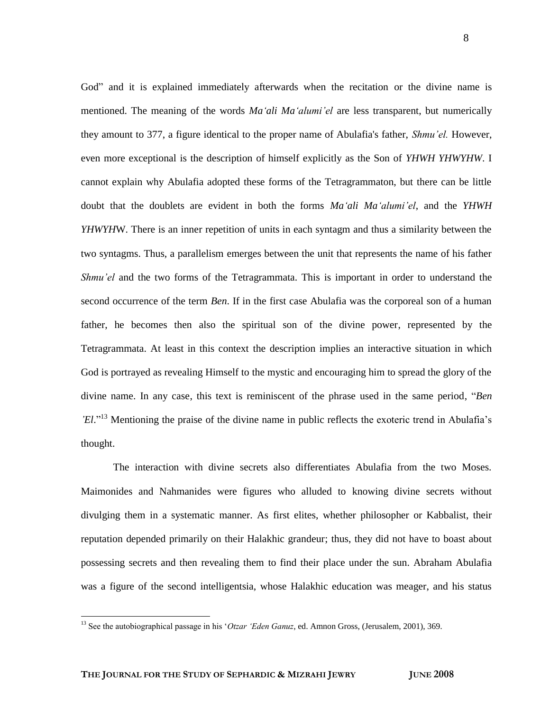God" and it is explained immediately afterwards when the recitation or the divine name is mentioned. The meaning of the words *Ma'ali Ma'alumi'el* are less transparent, but numerically they amount to 377, a figure identical to the proper name of Abulafia's father, *Shmu'el.* However, even more exceptional is the description of himself explicitly as the Son of *YHWH YHWYHW*. I cannot explain why Abulafia adopted these forms of the Tetragrammaton, but there can be little doubt that the doublets are evident in both the forms *Ma'ali Ma'alumi'el*, and the *YHWH YHWYH*W. There is an inner repetition of units in each syntagm and thus a similarity between the two syntagms. Thus, a parallelism emerges between the unit that represents the name of his father *Shmu'el* and the two forms of the Tetragrammata. This is important in order to understand the second occurrence of the term *Ben*. If in the first case Abulafia was the corporeal son of a human father, he becomes then also the spiritual son of the divine power, represented by the Tetragrammata. At least in this context the description implies an interactive situation in which God is portrayed as revealing Himself to the mystic and encouraging him to spread the glory of the divine name. In any case, this text is reminiscent of the phrase used in the same period, "*Ben 'El.*"<sup>13</sup> Mentioning the praise of the divine name in public reflects the exoteric trend in Abulafia's thought.

The interaction with divine secrets also differentiates Abulafia from the two Moses. Maimonides and Nahmanides were figures who alluded to knowing divine secrets without divulging them in a systematic manner. As first elites, whether philosopher or Kabbalist, their reputation depended primarily on their Halakhic grandeur; thus, they did not have to boast about possessing secrets and then revealing them to find their place under the sun. Abraham Abulafia was a figure of the second intelligentsia, whose Halakhic education was meager, and his status

<sup>&</sup>lt;sup>13</sup> See the autobiographical passage in his '*Otzar 'Eden Ganuz*, ed. Amnon Gross, (Jerusalem, 2001), 369.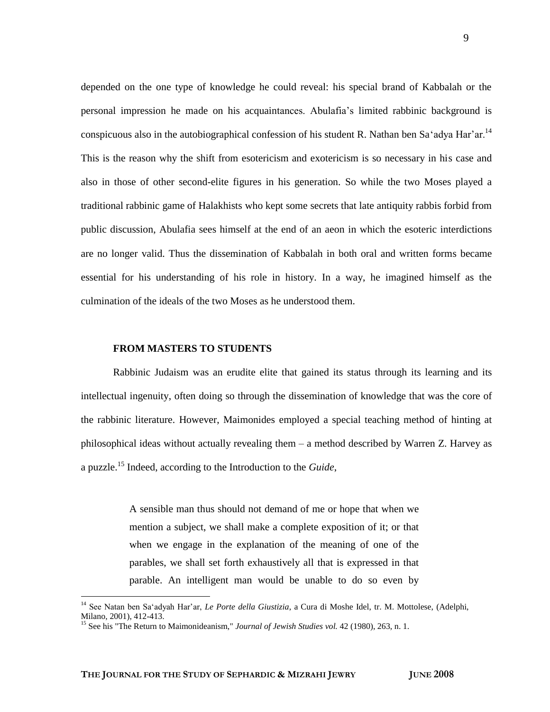depended on the one type of knowledge he could reveal: his special brand of Kabbalah or the personal impression he made on his acquaintances. Abulafia"s limited rabbinic background is conspicuous also in the autobiographical confession of his student R. Nathan ben Sa'adya Har'ar.<sup>14</sup> This is the reason why the shift from esotericism and exotericism is so necessary in his case and also in those of other second-elite figures in his generation. So while the two Moses played a traditional rabbinic game of Halakhists who kept some secrets that late antiquity rabbis forbid from public discussion, Abulafia sees himself at the end of an aeon in which the esoteric interdictions are no longer valid. Thus the dissemination of Kabbalah in both oral and written forms became essential for his understanding of his role in history. In a way, he imagined himself as the culmination of the ideals of the two Moses as he understood them.

#### **FROM MASTERS TO STUDENTS**

Rabbinic Judaism was an erudite elite that gained its status through its learning and its intellectual ingenuity, often doing so through the dissemination of knowledge that was the core of the rabbinic literature. However, Maimonides employed a special teaching method of hinting at philosophical ideas without actually revealing them – a method described by Warren Z. Harvey as a puzzle.<sup>15</sup> Indeed, according to the Introduction to the *Guide*,

> A sensible man thus should not demand of me or hope that when we mention a subject, we shall make a complete exposition of it; or that when we engage in the explanation of the meaning of one of the parables, we shall set forth exhaustively all that is expressed in that parable. An intelligent man would be unable to do so even by

<sup>&</sup>lt;sup>14</sup> See Natan ben Sa'adyah Har'ar, *Le Porte della Giustizia*, a Cura di Moshe Idel, tr. M. Mottolese, (Adelphi, Milano, 2001), 412-413.

<sup>15</sup> See his "The Return to Maimonideanism," *Journal of Jewish Studies vol.* 42 (1980), 263, n. 1.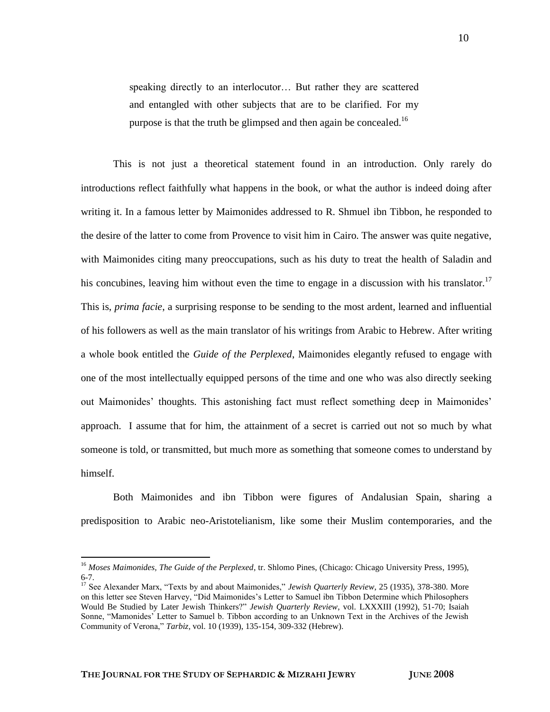speaking directly to an interlocutor… But rather they are scattered and entangled with other subjects that are to be clarified. For my purpose is that the truth be glimpsed and then again be concealed.<sup>16</sup>

This is not just a theoretical statement found in an introduction. Only rarely do introductions reflect faithfully what happens in the book, or what the author is indeed doing after writing it. In a famous letter by Maimonides addressed to R. Shmuel ibn Tibbon, he responded to the desire of the latter to come from Provence to visit him in Cairo. The answer was quite negative, with Maimonides citing many preoccupations, such as his duty to treat the health of Saladin and his concubines, leaving him without even the time to engage in a discussion with his translator.<sup>17</sup> This is, *prima facie*, a surprising response to be sending to the most ardent, learned and influential of his followers as well as the main translator of his writings from Arabic to Hebrew. After writing a whole book entitled the *Guide of the Perplexed*, Maimonides elegantly refused to engage with one of the most intellectually equipped persons of the time and one who was also directly seeking out Maimonides" thoughts. This astonishing fact must reflect something deep in Maimonides" approach. I assume that for him, the attainment of a secret is carried out not so much by what someone is told, or transmitted, but much more as something that someone comes to understand by himself.

Both Maimonides and ibn Tibbon were figures of Andalusian Spain, sharing a predisposition to Arabic neo-Aristotelianism, like some their Muslim contemporaries, and the

<sup>&</sup>lt;sup>16</sup> Moses Maimonides, The Guide of the Perplexed, tr. Shlomo Pines, (Chicago: Chicago University Press, 1995), 6-7.

<sup>&</sup>lt;sup>17</sup> See Alexander Marx, "Texts by and about Maimonides," *Jewish Quarterly Review*, 25 (1935), 378-380. More on this letter see Steven Harvey, "Did Maimonides"s Letter to Samuel ibn Tibbon Determine which Philosophers Would Be Studied by Later Jewish Thinkers?" *Jewish Quarterly Review*, vol. LXXXIII (1992), 51-70; Isaiah Sonne, "Mamonides" Letter to Samuel b. Tibbon according to an Unknown Text in the Archives of the Jewish Community of Verona," *Tarbiz,* vol. 10 (1939), 135-154, 309-332 (Hebrew).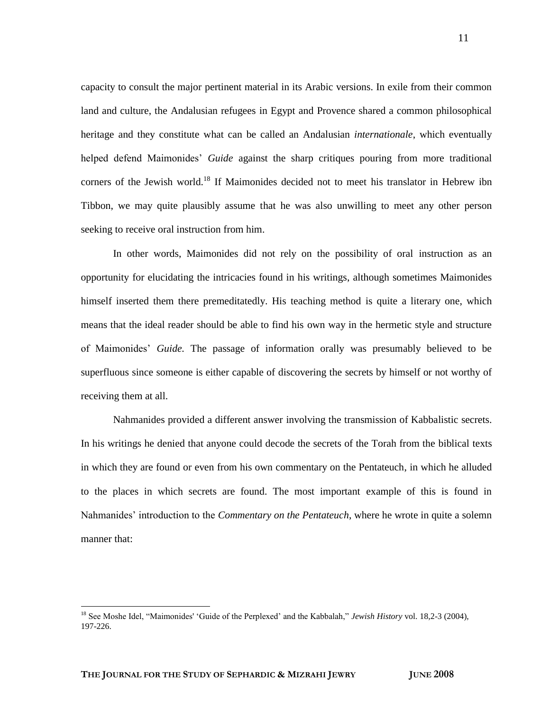capacity to consult the major pertinent material in its Arabic versions. In exile from their common land and culture, the Andalusian refugees in Egypt and Provence shared a common philosophical heritage and they constitute what can be called an Andalusian *internationale*, which eventually helped defend Maimonides" *Guide* against the sharp critiques pouring from more traditional corners of the Jewish world.<sup>18</sup> If Maimonides decided not to meet his translator in Hebrew ibn Tibbon, we may quite plausibly assume that he was also unwilling to meet any other person seeking to receive oral instruction from him.

In other words, Maimonides did not rely on the possibility of oral instruction as an opportunity for elucidating the intricacies found in his writings, although sometimes Maimonides himself inserted them there premeditatedly. His teaching method is quite a literary one, which means that the ideal reader should be able to find his own way in the hermetic style and structure of Maimonides" *Guide.* The passage of information orally was presumably believed to be superfluous since someone is either capable of discovering the secrets by himself or not worthy of receiving them at all.

Nahmanides provided a different answer involving the transmission of Kabbalistic secrets. In his writings he denied that anyone could decode the secrets of the Torah from the biblical texts in which they are found or even from his own commentary on the Pentateuch, in which he alluded to the places in which secrets are found. The most important example of this is found in Nahmanides" introduction to the *Commentary on the Pentateuch*, where he wrote in quite a solemn manner that:

<sup>&</sup>lt;sup>18</sup> See Moshe Idel, "Maimonides' 'Guide of the Perplexed' and the Kabbalah," *Jewish History* vol. 18,2-3 (2004), 197-226.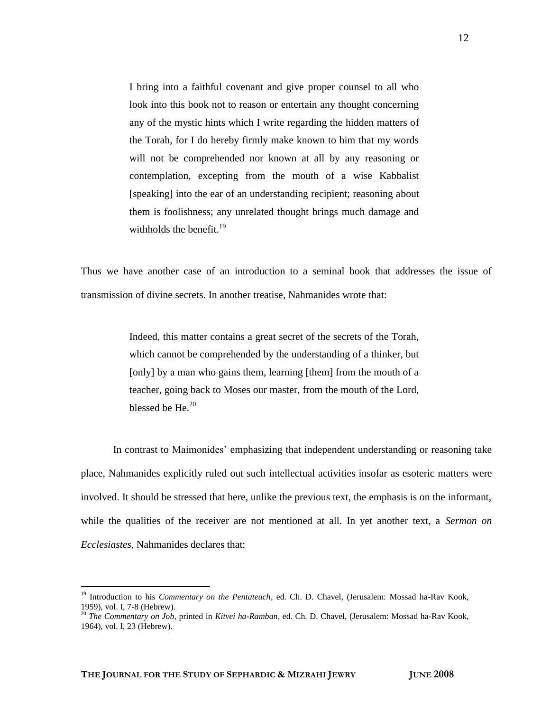I bring into a faithful covenant and give proper counsel to all who look into this book not to reason or entertain any thought concerning any of the mystic hints which I write regarding the hidden matters of the Torah, for I do hereby firmly make known to him that my words will not be comprehended nor known at all by any reasoning or contemplation, excepting from the mouth of a wise Kabbalist [speaking] into the ear of an understanding recipient; reasoning about them is foolishness; any unrelated thought brings much damage and withholds the benefit. $19$ 

Thus we have another case of an introduction to a seminal book that addresses the issue of transmission of divine secrets. In another treatise, Nahmanides wrote that:

> Indeed, this matter contains a great secret of the secrets of the Torah, which cannot be comprehended by the understanding of a thinker, but [only] by a man who gains them, learning [them] from the mouth of a teacher, going back to Moses our master, from the mouth of the Lord, blessed be He $^{20}$

In contrast to Maimonides' emphasizing that independent understanding or reasoning take place, Nahmanides explicitly ruled out such intellectual activities insofar as esoteric matters were involved. It should be stressed that here, unlike the previous text, the emphasis is on the informant, while the qualities of the receiver are not mentioned at all. In yet another text, a *Sermon on Ecclesiastes*, Nahmanides declares that:

<sup>&</sup>lt;sup>19</sup> Introduction to his *Commentary on the Pentateuch*, ed. Ch. D. Chavel, (Jerusalem: Mossad ha-Rav Kook, 1959), vol. I, 7-8 (Hebrew).

<sup>20</sup> *The Commentary on Job*, printed in *Kitvei ha-Ramban*, ed. Ch. D. Chavel, (Jerusalem: Mossad ha-Rav Kook, 1964), vol. I, 23 (Hebrew).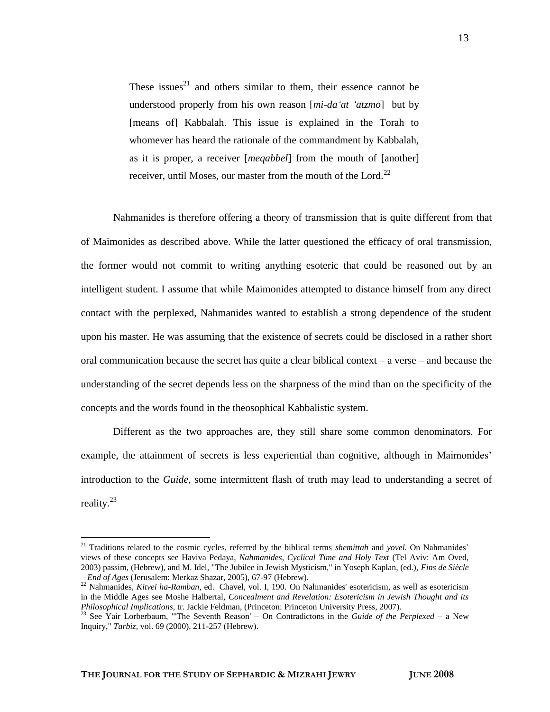These issues $^{21}$  and others similar to them, their essence cannot be understood properly from his own reason [*mi-da'at 'atzmo*] but by [means of] Kabbalah. This issue is explained in the Torah to whomever has heard the rationale of the commandment by Kabbalah, as it is proper, a receiver [*meqabbel*] from the mouth of [another] receiver, until Moses, our master from the mouth of the Lord. $^{22}$ 

Nahmanides is therefore offering a theory of transmission that is quite different from that of Maimonides as described above. While the latter questioned the efficacy of oral transmission, the former would not commit to writing anything esoteric that could be reasoned out by an intelligent student. I assume that while Maimonides attempted to distance himself from any direct contact with the perplexed, Nahmanides wanted to establish a strong dependence of the student upon his master. He was assuming that the existence of secrets could be disclosed in a rather short oral communication because the secret has quite a clear biblical context – a verse – and because the understanding of the secret depends less on the sharpness of the mind than on the specificity of the concepts and the words found in the theosophical Kabbalistic system.

Different as the two approaches are, they still share some common denominators. For example, the attainment of secrets is less experiential than cognitive, although in Maimonides' introduction to the *Guide,* some intermittent flash of truth may lead to understanding a secret of reality.<sup>23</sup>

<sup>&</sup>lt;sup>21</sup> Traditions related to the cosmic cycles, referred by the biblical terms *shemittah* and *yovel*. On Nahmanides' views of these concepts see Haviva Pedaya, *Nahmanides, Cyclical Time and Holy Text* (Tel Aviv: Am Oved, 2003) passim, (Hebrew), and M. Idel, "The Jubilee in Jewish Mysticism," in Yoseph Kaplan, (ed.), *Fins de Siècle – End of Ages* (Jerusalem: Merkaz Shazar, 2005), 67-97 (Hebrew).

<sup>&</sup>lt;sup>22</sup> Nahmanides, *Kitvei ha-Ramban*, ed. Chavel, vol. I, 190. On Nahmanides' esotericism, as well as esotericism in the Middle Ages see Moshe Halbertal, *Concealment and Revelation: Esotericism in Jewish Thought and its Philosophical Implications,* tr. Jackie Feldman, (Princeton: Princeton University Press, 2007).

<sup>23</sup> See Yair Lorberbaum, "'The Seventh Reason' – On Contradictons in the *Guide of the Perplexed* – a New Inquiry," *Tarbiz,* vol. 69 (2000), 211-257 (Hebrew).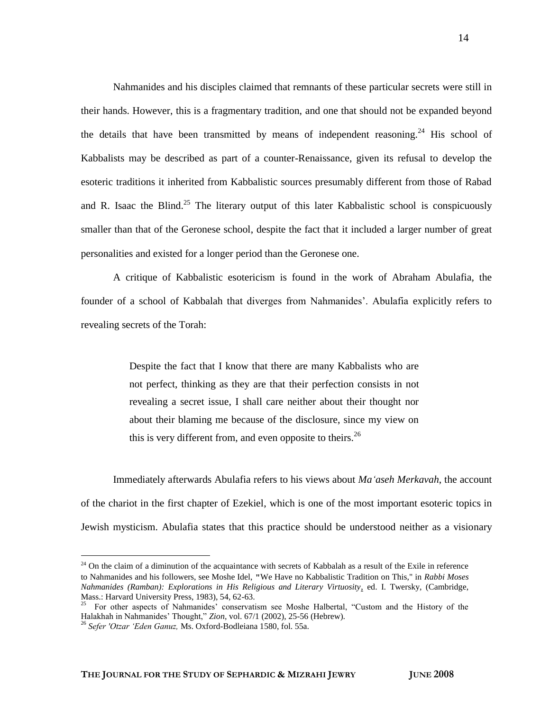Nahmanides and his disciples claimed that remnants of these particular secrets were still in their hands. However, this is a fragmentary tradition, and one that should not be expanded beyond the details that have been transmitted by means of independent reasoning.<sup>24</sup> His school of Kabbalists may be described as part of a counter-Renaissance, given its refusal to develop the esoteric traditions it inherited from Kabbalistic sources presumably different from those of Rabad and R. Isaac the Blind.<sup>25</sup> The literary output of this later Kabbalistic school is conspicuously smaller than that of the Geronese school, despite the fact that it included a larger number of great personalities and existed for a longer period than the Geronese one.

A critique of Kabbalistic esotericism is found in the work of Abraham Abulafia, the founder of a school of Kabbalah that diverges from Nahmanides". Abulafia explicitly refers to revealing secrets of the Torah:

> Despite the fact that I know that there are many Kabbalists who are not perfect, thinking as they are that their perfection consists in not revealing a secret issue, I shall care neither about their thought nor about their blaming me because of the disclosure, since my view on this is very different from, and even opposite to theirs.<sup>26</sup>

Immediately afterwards Abulafia refers to his views about *Ma'aseh Merkavah*, the account of the chariot in the first chapter of Ezekiel, which is one of the most important esoteric topics in Jewish mysticism. Abulafia states that this practice should be understood neither as a visionary

 $24$  On the claim of a diminution of the acquaintance with secrets of Kabbalah as a result of the Exile in reference to Nahmanides and his followers, see Moshe Idel, "We Have no Kabbalistic Tradition on This," in *Rabbi Moses Nahmanides (Ramban): Explorations in His Religious and Literary Virtuosity*, ed. I. Twersky, (Cambridge, Mass.: Harvard University Press, 1983), 54, 62-63.

<sup>&</sup>lt;sup>25</sup> For other aspects of Nahmanides' conservatism see Moshe Halbertal, "Custom and the History of the Halakhah in Nahmanides" Thought," *Zion*, vol. 67/1 (2002), 25-56 (Hebrew).

<sup>26</sup> *Sefer 'Otzar 'Eden Ganuz,* Ms. Oxford-Bodleiana 1580, fol. 55a.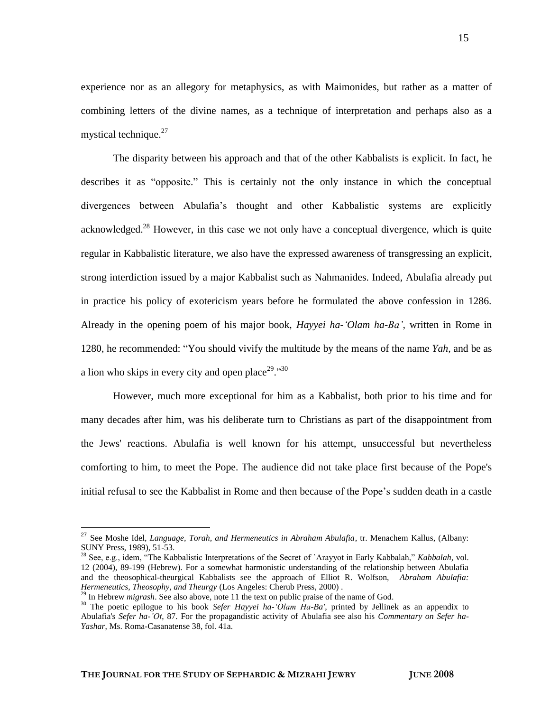experience nor as an allegory for metaphysics, as with Maimonides, but rather as a matter of combining letters of the divine names, as a technique of interpretation and perhaps also as a mystical technique.<sup>27</sup>

The disparity between his approach and that of the other Kabbalists is explicit. In fact, he describes it as "opposite." This is certainly not the only instance in which the conceptual divergences between Abulafia"s thought and other Kabbalistic systems are explicitly acknowledged.<sup>28</sup> However, in this case we not only have a conceptual divergence, which is quite regular in Kabbalistic literature, we also have the expressed awareness of transgressing an explicit, strong interdiction issued by a major Kabbalist such as Nahmanides. Indeed, Abulafia already put in practice his policy of exotericism years before he formulated the above confession in 1286. Already in the opening poem of his major book, *Hayyei ha-'Olam ha-Ba',* written in Rome in 1280, he recommended: "You should vivify the multitude by the means of the name *Yah,* and be as a lion who skips in every city and open place<sup>29</sup>."<sup>30</sup>

However, much more exceptional for him as a Kabbalist, both prior to his time and for many decades after him, was his deliberate turn to Christians as part of the disappointment from the Jews' reactions. Abulafia is well known for his attempt, unsuccessful but nevertheless comforting to him, to meet the Pope. The audience did not take place first because of the Pope's initial refusal to see the Kabbalist in Rome and then because of the Pope"s sudden death in a castle

<sup>27</sup> See Moshe Idel, *Language, Torah, and Hermeneutics in Abraham Abulafia*, tr. Menachem Kallus, (Albany: SUNY Press, 1989), 51-53.

<sup>28</sup> See, e.g., idem, "The Kabbalistic Interpretations of the Secret of `Arayyot in Early Kabbalah," *Kabbalah,* vol. 12 (2004), 89-199 (Hebrew). For a somewhat harmonistic understanding of the relationship between Abulafia and the theosophical-theurgical Kabbalists see the approach of Elliot R. Wolfson, *Abraham Abulafia: Hermeneutics, Theosophy, and Theurgy* (Los Angeles: Cherub Press, 2000) .

<sup>&</sup>lt;sup>29</sup> In Hebrew *migrash*. See also above, note 11 the text on public praise of the name of God.

<sup>&</sup>lt;sup>30</sup> The poetic epilogue to his book *Sefer Hayyei ha-'Olam Ha-Ba'*, printed by Jellinek as an appendix to Abulafia's *Sefer ha-'Ot*, 87. For the propagandistic activity of Abulafia see also his *Commentary on Sefer ha-Yashar*, Ms. Roma-Casanatense 38, fol. 41a.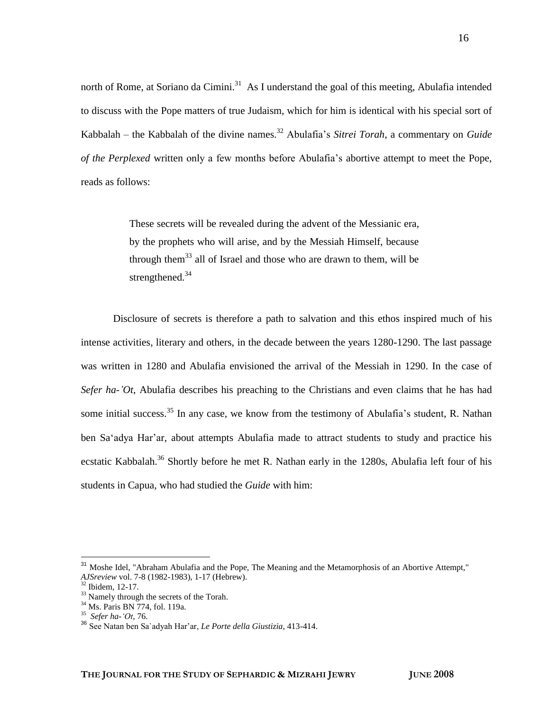north of Rome, at Soriano da Cimini.<sup>31</sup> As I understand the goal of this meeting, Abulafia intended to discuss with the Pope matters of true Judaism, which for him is identical with his special sort of Kabbalah – the Kabbalah of the divine names.<sup>32</sup> Abulafia's *Sitrei Torah*, a commentary on *Guide of the Perplexed* written only a few months before Abulafia"s abortive attempt to meet the Pope, reads as follows:

> These secrets will be revealed during the advent of the Messianic era, by the prophets who will arise, and by the Messiah Himself, because through them<sup>33</sup> all of Israel and those who are drawn to them, will be strengthened.<sup>34</sup>

Disclosure of secrets is therefore a path to salvation and this ethos inspired much of his intense activities, literary and others, in the decade between the years 1280-1290. The last passage was written in 1280 and Abulafia envisioned the arrival of the Messiah in 1290. In the case of *Sefer ha-'Ot*, Abulafia describes his preaching to the Christians and even claims that he has had some initial success.<sup>35</sup> In any case, we know from the testimony of Abulafia's student, R. Nathan ben Sa'adya Har'ar, about attempts Abulafia made to attract students to study and practice his ecstatic Kabbalah.<sup>36</sup> Shortly before he met R. Nathan early in the 1280s, Abulafia left four of his students in Capua, who had studied the *Guide* with him:

<sup>&</sup>lt;sup>31</sup> Moshe Idel, "Abraham Abulafia and the Pope, The Meaning and the Metamorphosis of an Abortive Attempt," *AJSreview* vol. 7-8 (1982-1983), 1-17 (Hebrew).

 $32$  Ibidem, 12-17.

 $33$  Namely through the secrets of the Torah.

<sup>34</sup> Ms. Paris BN 774, fol. 119a.

<sup>35</sup> *Sefer ha-'Ot*, 76.

<sup>36</sup> See Natan ben Sa`adyah Har"ar, *Le Porte della Giustizia*, 413-414.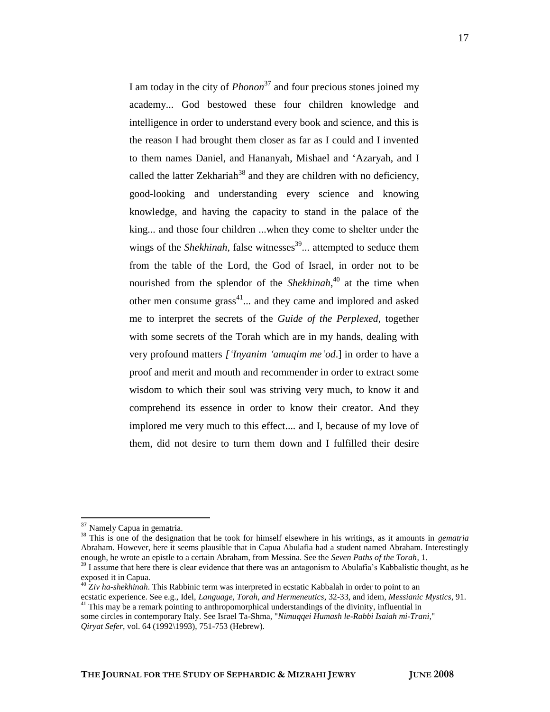I am today in the city of *Phonon*<sup>37</sup> and four precious stones joined my academy... God bestowed these four children knowledge and intelligence in order to understand every book and science, and this is the reason I had brought them closer as far as I could and I invented to them names Daniel, and Hananyah, Mishael and "Azaryah, and I called the latter Zekhariah<sup>38</sup> and they are children with no deficiency, good-looking and understanding every science and knowing knowledge, and having the capacity to stand in the palace of the king... and those four children ...when they come to shelter under the wings of the *Shekhinah*, false witnesses<sup>39</sup>... attempted to seduce them from the table of the Lord, the God of Israel, in order not to be nourished from the splendor of the *Shekhinah*, <sup>40</sup> at the time when other men consume grass<sup>41</sup>... and they came and implored and asked me to interpret the secrets of the *Guide of the Perplexed,* together with some secrets of the Torah which are in my hands, dealing with very profound matters *['Inyanim 'amuqim me'od*.] in order to have a proof and merit and mouth and recommender in order to extract some wisdom to which their soul was striving very much, to know it and comprehend its essence in order to know their creator. And they implored me very much to this effect.... and I, because of my love of them, did not desire to turn them down and I fulfilled their desire

<sup>&</sup>lt;sup>37</sup> Namely Capua in gematria.

<sup>38</sup> This is one of the designation that he took for himself elsewhere in his writings, as it amounts in *gematria*  Abraham. However, here it seems plausible that in Capua Abulafia had a student named Abraham. Interestingly enough, he wrote an epistle to a certain Abraham, from Messina. See the *Seven Paths of the Torah*, 1.

 $39$  I assume that here there is clear evidence that there was an antagonism to Abulafia's Kabbalistic thought, as he exposed it in Capua.

<sup>40</sup> Z*iv ha-shekhinah*. This Rabbinic term was interpreted in ecstatic Kabbalah in order to point to an ecstatic experience. See e.g., Idel, *Language, Torah, and Hermeneutics*, 32-33, and idem*, Messianic Mystics*, 91.

<sup>&</sup>lt;sup>41</sup> This may be a remark pointing to anthropomorphical understandings of the divinity, influential in

some circles in contemporary Italy. See Israel Ta-Shma, "*Nimuqqei Humash le-Rabbi Isaiah mi-Trani,*" *Qiryat Sefer*, vol. 64 (1992\1993), 751-753 (Hebrew).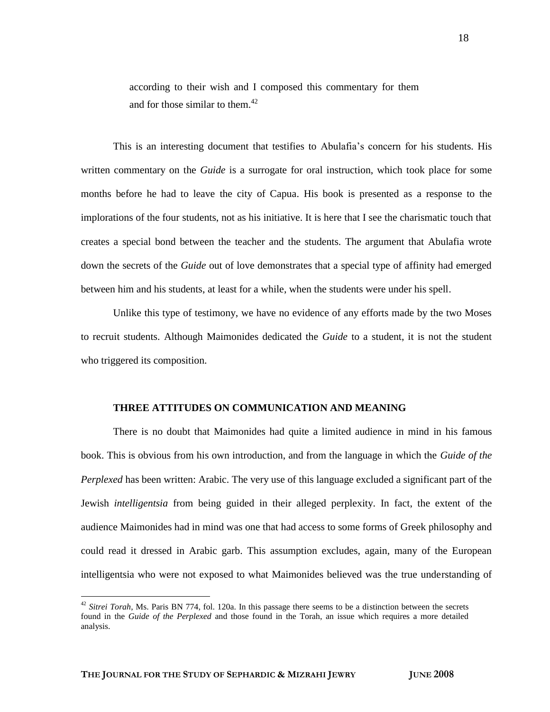according to their wish and I composed this commentary for them and for those similar to them.<sup>42</sup>

This is an interesting document that testifies to Abulafia"s concern for his students. His written commentary on the *Guide* is a surrogate for oral instruction, which took place for some months before he had to leave the city of Capua. His book is presented as a response to the implorations of the four students, not as his initiative. It is here that I see the charismatic touch that creates a special bond between the teacher and the students. The argument that Abulafia wrote down the secrets of the *Guide* out of love demonstrates that a special type of affinity had emerged between him and his students, at least for a while, when the students were under his spell.

Unlike this type of testimony, we have no evidence of any efforts made by the two Moses to recruit students. Although Maimonides dedicated the *Guide* to a student, it is not the student who triggered its composition.

### **THREE ATTITUDES ON COMMUNICATION AND MEANING**

There is no doubt that Maimonides had quite a limited audience in mind in his famous book. This is obvious from his own introduction, and from the language in which the *Guide of the Perplexed* has been written: Arabic. The very use of this language excluded a significant part of the Jewish *intelligentsia* from being guided in their alleged perplexity. In fact, the extent of the audience Maimonides had in mind was one that had access to some forms of Greek philosophy and could read it dressed in Arabic garb. This assumption excludes, again, many of the European intelligentsia who were not exposed to what Maimonides believed was the true understanding of

18

<sup>&</sup>lt;sup>42</sup> Sitrei Torah, Ms. Paris BN 774, fol. 120a. In this passage there seems to be a distinction between the secrets found in the *Guide of the Perplexed* and those found in the Torah, an issue which requires a more detailed analysis.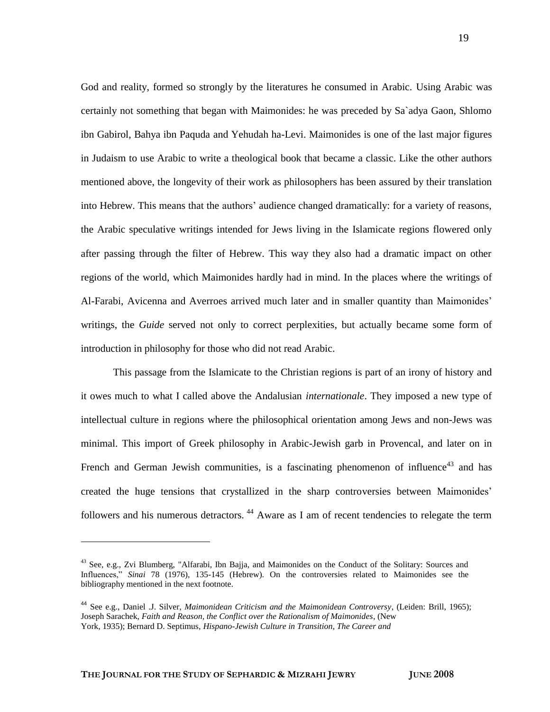God and reality, formed so strongly by the literatures he consumed in Arabic. Using Arabic was certainly not something that began with Maimonides: he was preceded by Sa`adya Gaon, Shlomo ibn Gabirol, Bahya ibn Paquda and Yehudah ha-Levi. Maimonides is one of the last major figures in Judaism to use Arabic to write a theological book that became a classic. Like the other authors mentioned above, the longevity of their work as philosophers has been assured by their translation into Hebrew. This means that the authors" audience changed dramatically: for a variety of reasons, the Arabic speculative writings intended for Jews living in the Islamicate regions flowered only after passing through the filter of Hebrew. This way they also had a dramatic impact on other regions of the world, which Maimonides hardly had in mind. In the places where the writings of Al-Farabi, Avicenna and Averroes arrived much later and in smaller quantity than Maimonides" writings, the *Guide* served not only to correct perplexities, but actually became some form of introduction in philosophy for those who did not read Arabic.

This passage from the Islamicate to the Christian regions is part of an irony of history and it owes much to what I called above the Andalusian *internationale*. They imposed a new type of intellectual culture in regions where the philosophical orientation among Jews and non-Jews was minimal. This import of Greek philosophy in Arabic-Jewish garb in Provencal, and later on in French and German Jewish communities, is a fascinating phenomenon of influence<sup>43</sup> and has created the huge tensions that crystallized in the sharp controversies between Maimonides" followers and his numerous detractors.<sup>44</sup> Aware as I am of recent tendencies to relegate the term

<sup>&</sup>lt;sup>43</sup> See, e.g., Zvi Blumberg, "Alfarabi, Ibn Bajja, and Maimonides on the Conduct of the Solitary: Sources and Influences," *Sinai* 78 (1976), 135-145 (Hebrew). On the controversies related to Maimonides see the bibliography mentioned in the next footnote.

<sup>44</sup> See e.g., Daniel .J. Silver, *Maimonidean Criticism and the Maimonidean Controversy*, (Leiden: Brill, 1965); Joseph Sarachek, *Faith and Reason, the Conflict over the Rationalism of Maimonides*, (New York, 1935); Bernard D. Septimus, *Hispano-Jewish Culture in Transition, The Career and*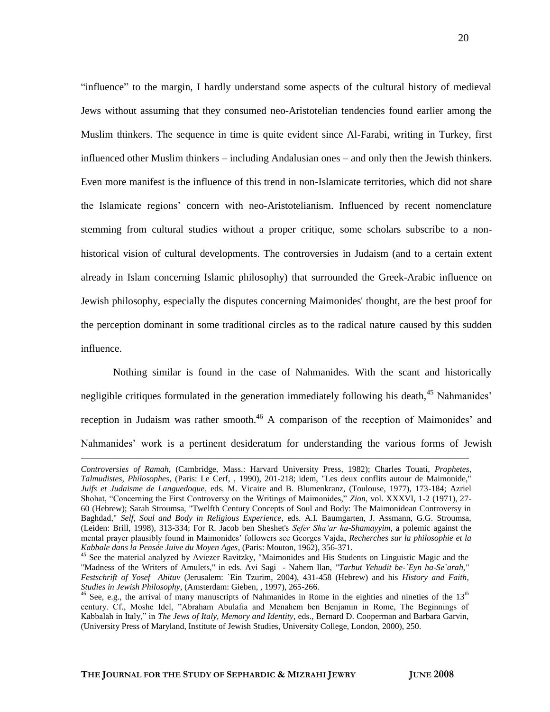"influence" to the margin, I hardly understand some aspects of the cultural history of medieval Jews without assuming that they consumed neo-Aristotelian tendencies found earlier among the Muslim thinkers. The sequence in time is quite evident since Al-Farabi, writing in Turkey, first influenced other Muslim thinkers – including Andalusian ones – and only then the Jewish thinkers. Even more manifest is the influence of this trend in non-Islamicate territories, which did not share the Islamicate regions" concern with neo-Aristotelianism. Influenced by recent nomenclature stemming from cultural studies without a proper critique, some scholars subscribe to a nonhistorical vision of cultural developments. The controversies in Judaism (and to a certain extent already in Islam concerning Islamic philosophy) that surrounded the Greek-Arabic influence on Jewish philosophy, especially the disputes concerning Maimonides' thought, are the best proof for the perception dominant in some traditional circles as to the radical nature caused by this sudden influence.

Nothing similar is found in the case of Nahmanides. With the scant and historically negligible critiques formulated in the generation immediately following his death.<sup>45</sup> Nahmanides' reception in Judaism was rather smooth.<sup>46</sup> A comparison of the reception of Maimonides' and Nahmanides" work is a pertinent desideratum for understanding the various forms of Jewish

*Controversies of Ramah,* (Cambridge, Mass.: Harvard University Press, 1982); Charles Touati, *Prophetes, Talmudistes, Philosophes*, (Paris: Le Cerf, , 1990), 201-218; idem, "Les deux conflits autour de Maimonide," *Juifs et Judaisme de Languedoque*, eds. M. Vicaire and B. Blumenkranz, (Toulouse, 1977), 173-184; Azriel Shohat, "Concerning the First Controversy on the Writings of Maimonides," *Zion,* vol. XXXVI, 1-2 (1971), 27- 60 (Hebrew); Sarah Stroumsa, "Twelfth Century Concepts of Soul and Body: The Maimonidean Controversy in Baghdad," *Self, Soul and Body in Religious Experience*, eds. A.I. Baumgarten, J. Assmann, G.G. Stroumsa, (Leiden: Brill, 1998), 313-334; For R. Jacob ben Sheshet's *Sefer Sha'ar ha-Shamayyim*, a polemic against the mental prayer plausibly found in Maimonides" followers see Georges Vajda, *Recherches sur la philosophie et la Kabbale dans la Pensée Juive du Moyen Ages*, (Paris: Mouton, 1962), 356-371.

<sup>&</sup>lt;sup>45</sup> See the material analyzed by Aviezer Ravitzky, "Maimonides and His Students on Linguistic Magic and the "Madness of the Writers of Amulets," in eds. Avi Sagi - Nahem Ilan, *"Tarbut Yehudit be-`Eyn ha-Se`arah," Festschrift of Yosef Ahituv* (Jerusalem: `Ein Tzurim, 2004), 431-458 (Hebrew) and his *History and Faith*, *Studies in Jewish Philosophy*, (Amsterdam: Gieben, , 1997), 265-266.

 $46$  See, e.g., the arrival of many manuscripts of Nahmanides in Rome in the eighties and nineties of the 13<sup>th</sup> century. Cf., Moshe Idel, "Abraham Abulafia and Menahem ben Benjamin in Rome, The Beginnings of Kabbalah in Italy," in *The Jews of Italy, Memory and Identity*, eds., Bernard D. Cooperman and Barbara Garvin, (University Press of Maryland, Institute of Jewish Studies, University College, London, 2000), 250.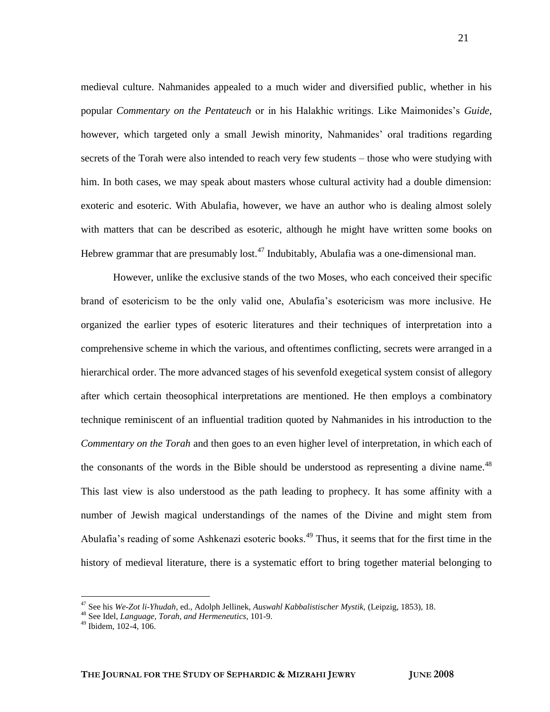medieval culture. Nahmanides appealed to a much wider and diversified public, whether in his popular *Commentary on the Pentateuch* or in his Halakhic writings. Like Maimonides"s *Guide,* however, which targeted only a small Jewish minority, Nahmanides' oral traditions regarding secrets of the Torah were also intended to reach very few students – those who were studying with him. In both cases, we may speak about masters whose cultural activity had a double dimension: exoteric and esoteric. With Abulafia, however, we have an author who is dealing almost solely with matters that can be described as esoteric, although he might have written some books on Hebrew grammar that are presumably lost.<sup>47</sup> Indubitably, Abulafia was a one-dimensional man.

However, unlike the exclusive stands of the two Moses, who each conceived their specific brand of esotericism to be the only valid one, Abulafia"s esotericism was more inclusive. He organized the earlier types of esoteric literatures and their techniques of interpretation into a comprehensive scheme in which the various, and oftentimes conflicting, secrets were arranged in a hierarchical order. The more advanced stages of his sevenfold exegetical system consist of allegory after which certain theosophical interpretations are mentioned. He then employs a combinatory technique reminiscent of an influential tradition quoted by Nahmanides in his introduction to the *Commentary on the Torah* and then goes to an even higher level of interpretation, in which each of the consonants of the words in the Bible should be understood as representing a divine name. $^{48}$ This last view is also understood as the path leading to prophecy. It has some affinity with a number of Jewish magical understandings of the names of the Divine and might stem from Abulafia's reading of some Ashkenazi esoteric books.<sup>49</sup> Thus, it seems that for the first time in the history of medieval literature, there is a systematic effort to bring together material belonging to

<sup>47</sup> See his *We-Zot li-Yhudah*, ed., Adolph Jellinek, *Auswahl Kabbalistischer Mystik,* (Leipzig, 1853), 18.

<sup>48</sup> See Idel, *Language, Torah, and Hermeneutics*, 101-9.

<sup>49</sup> Ibidem, 102-4, 106.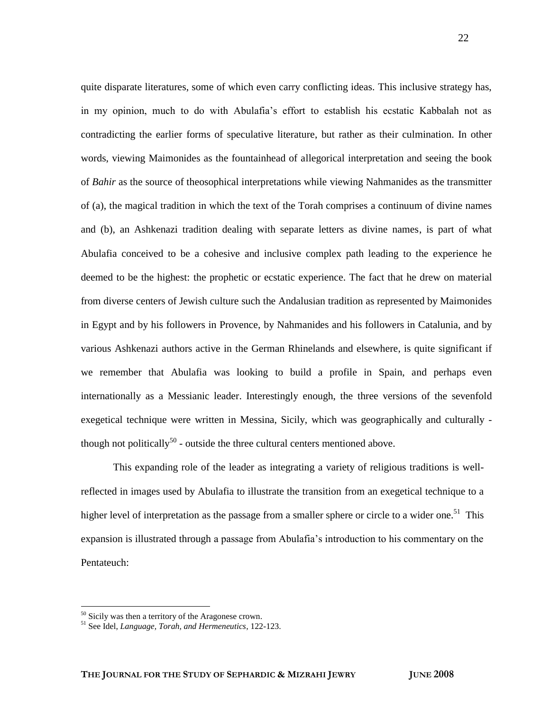quite disparate literatures, some of which even carry conflicting ideas. This inclusive strategy has, in my opinion, much to do with Abulafia"s effort to establish his ecstatic Kabbalah not as contradicting the earlier forms of speculative literature, but rather as their culmination. In other words, viewing Maimonides as the fountainhead of allegorical interpretation and seeing the book of *Bahir* as the source of theosophical interpretations while viewing Nahmanides as the transmitter of (a), the magical tradition in which the text of the Torah comprises a continuum of divine names and (b), an Ashkenazi tradition dealing with separate letters as divine names, is part of what Abulafia conceived to be a cohesive and inclusive complex path leading to the experience he deemed to be the highest: the prophetic or ecstatic experience. The fact that he drew on material from diverse centers of Jewish culture such the Andalusian tradition as represented by Maimonides in Egypt and by his followers in Provence, by Nahmanides and his followers in Catalunia, and by various Ashkenazi authors active in the German Rhinelands and elsewhere, is quite significant if we remember that Abulafia was looking to build a profile in Spain, and perhaps even internationally as a Messianic leader. Interestingly enough, the three versions of the sevenfold exegetical technique were written in Messina, Sicily, which was geographically and culturally though not politically<sup>50</sup> - outside the three cultural centers mentioned above.

This expanding role of the leader as integrating a variety of religious traditions is wellreflected in images used by Abulafia to illustrate the transition from an exegetical technique to a higher level of interpretation as the passage from a smaller sphere or circle to a wider one.<sup>51</sup> This expansion is illustrated through a passage from Abulafia"s introduction to his commentary on the Pentateuch:

<sup>50</sup> Sicily was then a territory of the Aragonese crown.

<sup>51</sup> See Idel, *Language, Torah, and Hermeneutics*, 122-123.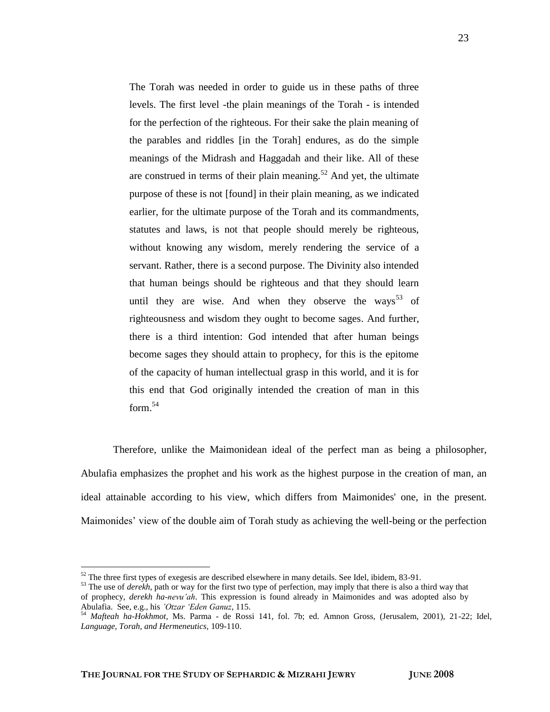The Torah was needed in order to guide us in these paths of three levels. The first level -the plain meanings of the Torah - is intended for the perfection of the righteous. For their sake the plain meaning of the parables and riddles [in the Torah] endures, as do the simple meanings of the Midrash and Haggadah and their like. All of these are construed in terms of their plain meaning.<sup>52</sup> And yet, the ultimate purpose of these is not [found] in their plain meaning, as we indicated earlier, for the ultimate purpose of the Torah and its commandments, statutes and laws, is not that people should merely be righteous, without knowing any wisdom, merely rendering the service of a servant. Rather, there is a second purpose. The Divinity also intended that human beings should be righteous and that they should learn until they are wise. And when they observe the ways<sup>53</sup> of righteousness and wisdom they ought to become sages. And further, there is a third intention: God intended that after human beings become sages they should attain to prophecy, for this is the epitome of the capacity of human intellectual grasp in this world, and it is for this end that God originally intended the creation of man in this  $form.<sup>54</sup>$ 

Therefore, unlike the Maimonidean ideal of the perfect man as being a philosopher, Abulafia emphasizes the prophet and his work as the highest purpose in the creation of man, an ideal attainable according to his view, which differs from Maimonides' one, in the present. Maimonides" view of the double aim of Torah study as achieving the well-being or the perfection

 $52$  The three first types of exegesis are described elsewhere in many details. See Idel, ibidem, 83-91.

<sup>&</sup>lt;sup>53</sup> The use of *derekh*, path or way for the first two type of perfection, may imply that there is also a third way that of prophecy, *derekh ha-nevu'ah*. This expression is found already in Maimonides and was adopted also by Abulafia. See, e.g., his *'Otzar 'Eden Ganuz*, 115.

<sup>54</sup> *Mafteah ha-Hokhmot*, Ms. Parma - de Rossi 141, fol. 7b; ed. Amnon Gross, (Jerusalem, 2001), 21-22; Idel, *Language, Torah, and Hermeneutics,* 109-110.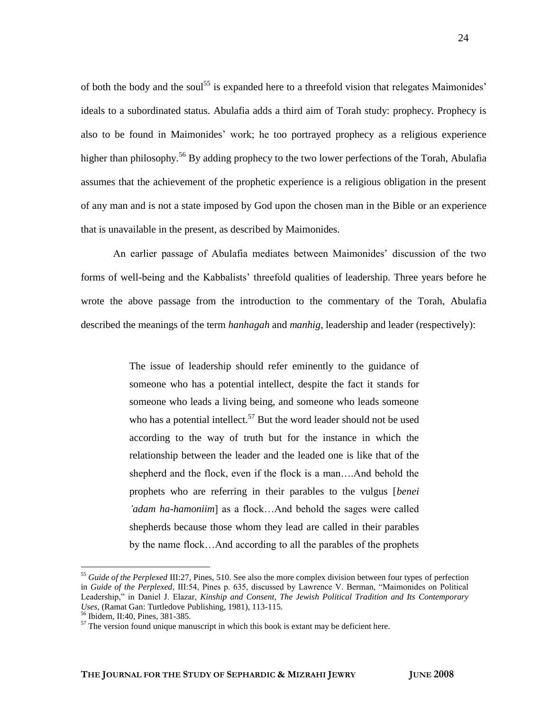of both the body and the soul<sup>55</sup> is expanded here to a threefold vision that relegates Maimonides' ideals to a subordinated status. Abulafia adds a third aim of Torah study: prophecy. Prophecy is also to be found in Maimonides" work; he too portrayed prophecy as a religious experience higher than philosophy.<sup>56</sup> By adding prophecy to the two lower perfections of the Torah, Abulafia assumes that the achievement of the prophetic experience is a religious obligation in the present of any man and is not a state imposed by God upon the chosen man in the Bible or an experience that is unavailable in the present, as described by Maimonides.

An earlier passage of Abulafia mediates between Maimonides" discussion of the two forms of well-being and the Kabbalists" threefold qualities of leadership. Three years before he wrote the above passage from the introduction to the commentary of the Torah, Abulafia described the meanings of the term *hanhagah* and *manhig*, leadership and leader (respectively):

> The issue of leadership should refer eminently to the guidance of someone who has a potential intellect, despite the fact it stands for someone who leads a living being, and someone who leads someone who has a potential intellect.<sup>57</sup> But the word leader should not be used according to the way of truth but for the instance in which the relationship between the leader and the leaded one is like that of the shepherd and the flock, even if the flock is a man….And behold the prophets who are referring in their parables to the vulgus [*benei 'adam ha-hamoniim*] as a flock…And behold the sages were called shepherds because those whom they lead are called in their parables by the name flock…And according to all the parables of the prophets

<sup>55</sup> *Guide of the Perplexed* III:27, Pines, 510. See also the more complex division between four types of perfection in *Guide of the Perplexed*, III:54, Pines p. 635, discussed by Lawrence V. Berman, "Maimonides on Political Leadership," in Daniel J. Elazar, *Kinship and Consent, The Jewish Political Tradition and Its Contemporary Uses*, (Ramat Gan: Turtledove Publishing, 1981), 113-115.

<sup>56</sup> Ibidem, II:40, Pines, 381-385.

 $57$  The version found unique manuscript in which this book is extant may be deficient here.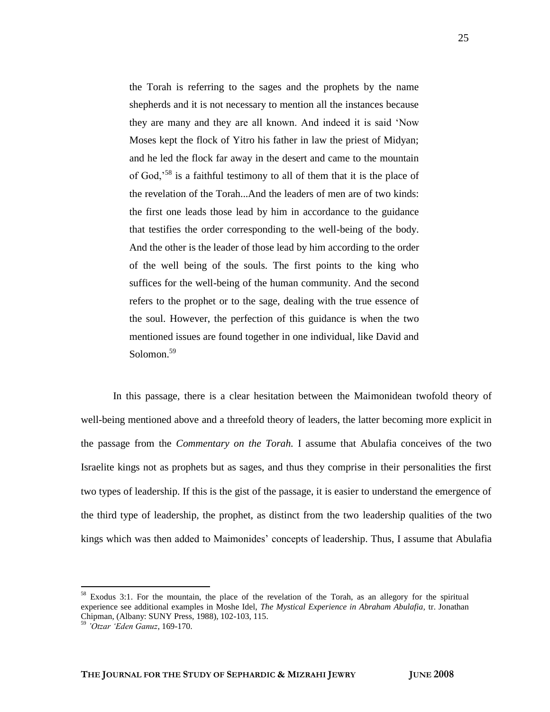the Torah is referring to the sages and the prophets by the name shepherds and it is not necessary to mention all the instances because they are many and they are all known. And indeed it is said "Now Moses kept the flock of Yitro his father in law the priest of Midyan; and he led the flock far away in the desert and came to the mountain of God,"<sup>58</sup> is a faithful testimony to all of them that it is the place of the revelation of the Torah...And the leaders of men are of two kinds: the first one leads those lead by him in accordance to the guidance that testifies the order corresponding to the well-being of the body. And the other is the leader of those lead by him according to the order of the well being of the souls. The first points to the king who suffices for the well-being of the human community. And the second refers to the prophet or to the sage, dealing with the true essence of the soul. However, the perfection of this guidance is when the two mentioned issues are found together in one individual, like David and Solomon.<sup>59</sup>

In this passage, there is a clear hesitation between the Maimonidean twofold theory of well-being mentioned above and a threefold theory of leaders, the latter becoming more explicit in the passage from the *Commentary on the Torah.* I assume that Abulafia conceives of the two Israelite kings not as prophets but as sages, and thus they comprise in their personalities the first two types of leadership. If this is the gist of the passage, it is easier to understand the emergence of the third type of leadership, the prophet, as distinct from the two leadership qualities of the two kings which was then added to Maimonides' concepts of leadership. Thus, I assume that Abulafia

<sup>58</sup> Exodus 3:1. For the mountain, the place of the revelation of the Torah, as an allegory for the spiritual experience see additional examples in Moshe Idel, *The Mystical Experience in Abraham Abulafia,* tr. Jonathan Chipman, (Albany: SUNY Press, 1988), 102-103, 115.

<sup>59</sup> *'Otzar 'Eden Ganuz*, 169-170.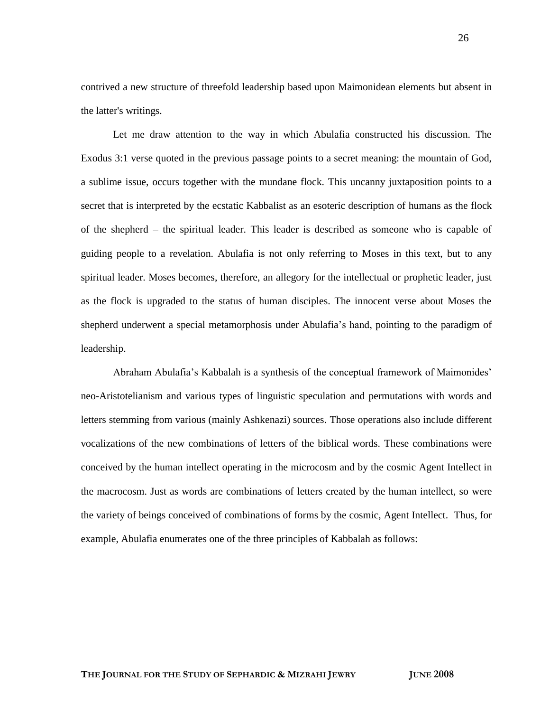contrived a new structure of threefold leadership based upon Maimonidean elements but absent in the latter's writings.

Let me draw attention to the way in which Abulafia constructed his discussion. The Exodus 3:1 verse quoted in the previous passage points to a secret meaning: the mountain of God, a sublime issue, occurs together with the mundane flock. This uncanny juxtaposition points to a secret that is interpreted by the ecstatic Kabbalist as an esoteric description of humans as the flock of the shepherd – the spiritual leader. This leader is described as someone who is capable of guiding people to a revelation. Abulafia is not only referring to Moses in this text, but to any spiritual leader. Moses becomes, therefore, an allegory for the intellectual or prophetic leader, just as the flock is upgraded to the status of human disciples. The innocent verse about Moses the shepherd underwent a special metamorphosis under Abulafia"s hand, pointing to the paradigm of leadership.

Abraham Abulafia"s Kabbalah is a synthesis of the conceptual framework of Maimonides" neo-Aristotelianism and various types of linguistic speculation and permutations with words and letters stemming from various (mainly Ashkenazi) sources. Those operations also include different vocalizations of the new combinations of letters of the biblical words. These combinations were conceived by the human intellect operating in the microcosm and by the cosmic Agent Intellect in the macrocosm. Just as words are combinations of letters created by the human intellect, so were the variety of beings conceived of combinations of forms by the cosmic, Agent Intellect. Thus, for example, Abulafia enumerates one of the three principles of Kabbalah as follows: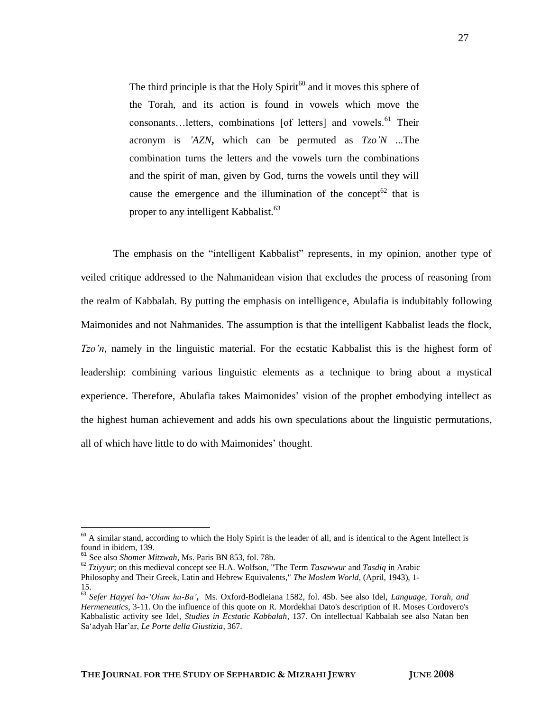The third principle is that the Holy  $Spirit^{60}$  and it moves this sphere of the Torah, and its action is found in vowels which move the consonants…letters, combinations [of letters] and vowels.<sup>61</sup> Their acronym is *'AZN***,** which can be permuted as *Tzo'N* ...The combination turns the letters and the vowels turn the combinations and the spirit of man, given by God, turns the vowels until they will cause the emergence and the illumination of the concept<sup>62</sup> that is proper to any intelligent Kabbalist.<sup>63</sup>

The emphasis on the "intelligent Kabbalist" represents, in my opinion, another type of veiled critique addressed to the Nahmanidean vision that excludes the process of reasoning from the realm of Kabbalah. By putting the emphasis on intelligence, Abulafia is indubitably following Maimonides and not Nahmanides. The assumption is that the intelligent Kabbalist leads the flock, *Tzo'n*, namely in the linguistic material. For the ecstatic Kabbalist this is the highest form of leadership: combining various linguistic elements as a technique to bring about a mystical experience. Therefore, Abulafia takes Maimonides' vision of the prophet embodying intellect as the highest human achievement and adds his own speculations about the linguistic permutations, all of which have little to do with Maimonides" thought.

 $\overline{a}$ 

27

 $60$  A similar stand, according to which the Holy Spirit is the leader of all, and is identical to the Agent Intellect is found in ibidem, 139.

<sup>61</sup> See also *Shomer Mitzwah*, Ms. Paris BN 853, fol. 78b.

<sup>62</sup> *Tziyyur*; on this medieval concept see H.A. Wolfson, "The Term *Tasawwur* and *Tasdiq* in Arabic Philosophy and Their Greek, Latin and Hebrew Equivalents," *The Moslem World*, (April, 1943), 1- 15.

<sup>63</sup> *Sefer Hayyei ha-'Olam ha-Ba'***,** Ms. Oxford-Bodleiana 1582, fol. 45b. See also Idel, *Language, Torah, and Hermeneutics*, 3-11. On the influence of this quote on R. Mordekhai Dato's description of R. Moses Cordovero's Kabbalistic activity see Idel, *Studies in Ecstatic Kabbalah*, 137. On intellectual Kabbalah see also Natan ben Sa"adyah Har"ar, *Le Porte della Giustizia*, 367.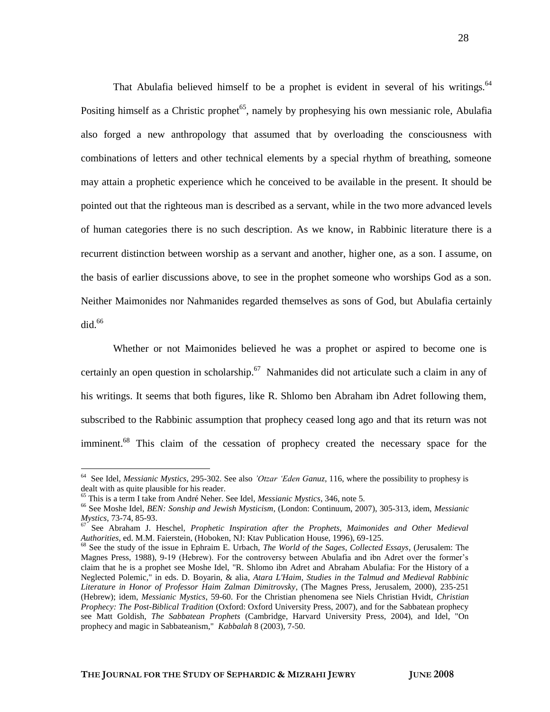That Abulafia believed himself to be a prophet is evident in several of his writings.<sup>64</sup> Positing himself as a Christic prophet<sup>65</sup>, namely by prophesying his own messianic role, Abulafia also forged a new anthropology that assumed that by overloading the consciousness with combinations of letters and other technical elements by a special rhythm of breathing, someone may attain a prophetic experience which he conceived to be available in the present. It should be pointed out that the righteous man is described as a servant, while in the two more advanced levels of human categories there is no such description. As we know, in Rabbinic literature there is a recurrent distinction between worship as a servant and another, higher one, as a son. I assume, on the basis of earlier discussions above, to see in the prophet someone who worships God as a son. Neither Maimonides nor Nahmanides regarded themselves as sons of God, but Abulafia certainly did. 66

Whether or not Maimonides believed he was a prophet or aspired to become one is certainly an open question in scholarship.<sup>67</sup> Nahmanides did not articulate such a claim in any of his writings. It seems that both figures, like R. Shlomo ben Abraham ibn Adret following them, subscribed to the Rabbinic assumption that prophecy ceased long ago and that its return was not imminent.<sup>68</sup> This claim of the cessation of prophecy created the necessary space for the

<sup>64</sup> See Idel, *Messianic Mystics,* 295-302. See also *'Otzar 'Eden Ganuz*, 116, where the possibility to prophesy is dealt with as quite plausible for his reader.

<sup>65</sup> This is a term I take from André Neher. See Idel, *Messianic Mystics*, 346, note 5.

<sup>66</sup> See Moshe Idel, *BEN: Sonship and Jewish Mysticism*, (London: Continuum, 2007), 305-313, idem, *Messianic Mystics*, 73-74, 85-93.

<sup>67</sup> See Abraham J. Heschel, *Prophetic Inspiration after the Prophets, Maimonides and Other Medieval Authorities*, ed. M.M. Faierstein, (Hoboken, NJ: Ktav Publication House, 1996), 69-125.

<sup>68</sup> See the study of the issue in Ephraim E. Urbach, *The World of the Sages, Collected Essays*, (Jerusalem: The Magnes Press, 1988), 9-19 (Hebrew). For the controversy between Abulafia and ibn Adret over the former"s claim that he is a prophet see Moshe Idel, "R. Shlomo ibn Adret and Abraham Abulafia: For the History of a Neglected Polemic," in eds. D. Boyarin, & alia, *Atara L'Haim, Studies in the Talmud and Medieval Rabbinic Literature in Honor of Professor Haim Zalman Dimitrovsky*, (The Magnes Press, Jerusalem, 2000), 235-251 (Hebrew); idem, *Messianic Mystics*, 59-60. For the Christian phenomena see Niels Christian Hvidt, *Christian Prophecy: The Post-Biblical Tradition* (Oxford: Oxford University Press, 2007), and for the Sabbatean prophecy see Matt Goldish, *The Sabbatean Prophets* (Cambridge, Harvard University Press, 2004), and Idel, "On prophecy and magic in Sabbateanism," *Kabbalah* 8 (2003), 7-50.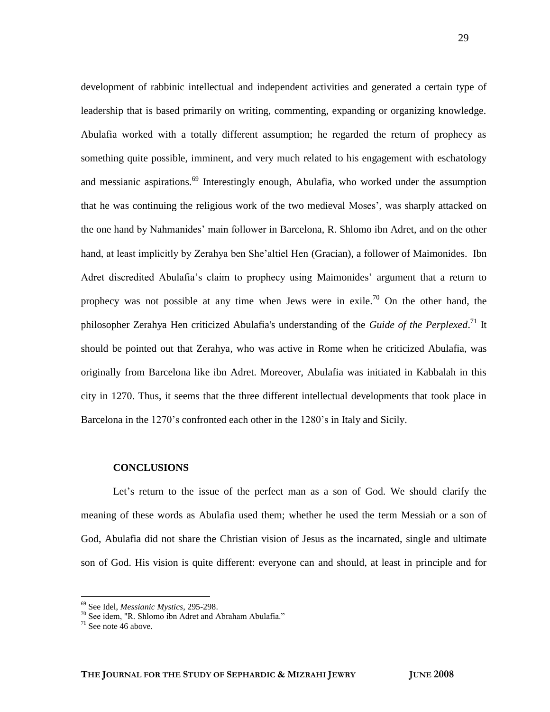development of rabbinic intellectual and independent activities and generated a certain type of leadership that is based primarily on writing, commenting, expanding or organizing knowledge. Abulafia worked with a totally different assumption; he regarded the return of prophecy as something quite possible, imminent, and very much related to his engagement with eschatology and messianic aspirations.<sup>69</sup> Interestingly enough, Abulafia, who worked under the assumption that he was continuing the religious work of the two medieval Moses", was sharply attacked on the one hand by Nahmanides" main follower in Barcelona, R. Shlomo ibn Adret, and on the other hand, at least implicitly by Zerahya ben She"altiel Hen (Gracian), a follower of Maimonides. Ibn Adret discredited Abulafia's claim to prophecy using Maimonides' argument that a return to prophecy was not possible at any time when Jews were in exile.<sup>70</sup> On the other hand, the philosopher Zerahya Hen criticized Abulafia's understanding of the *Guide of the Perplexed*. <sup>71</sup> It should be pointed out that Zerahya, who was active in Rome when he criticized Abulafia, was originally from Barcelona like ibn Adret. Moreover, Abulafia was initiated in Kabbalah in this city in 1270. Thus, it seems that the three different intellectual developments that took place in Barcelona in the 1270's confronted each other in the 1280's in Italy and Sicily.

#### **CONCLUSIONS**

Let's return to the issue of the perfect man as a son of God. We should clarify the meaning of these words as Abulafia used them; whether he used the term Messiah or a son of God, Abulafia did not share the Christian vision of Jesus as the incarnated, single and ultimate son of God. His vision is quite different: everyone can and should, at least in principle and for

 $\overline{a}$ 

29

<sup>69</sup> See Idel, *Messianic Mystics*, 295-298.

<sup>70</sup> See idem, "R. Shlomo ibn Adret and Abraham Abulafia."

 $71$  See note 46 above.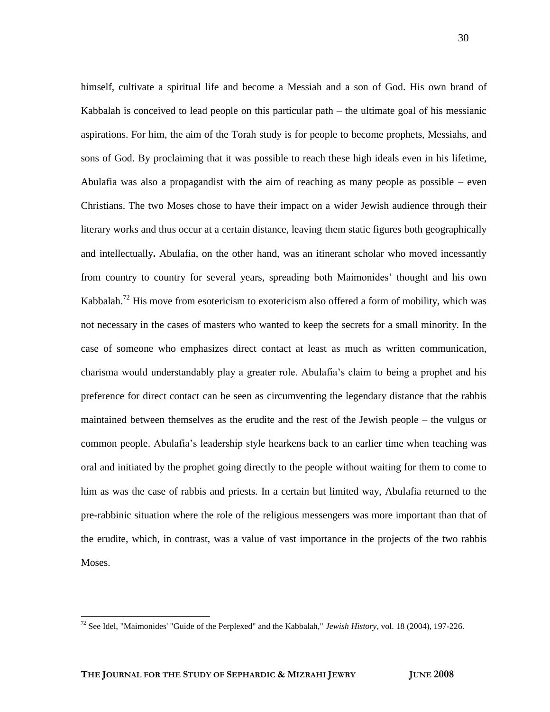himself, cultivate a spiritual life and become a Messiah and a son of God. His own brand of Kabbalah is conceived to lead people on this particular path – the ultimate goal of his messianic aspirations. For him, the aim of the Torah study is for people to become prophets, Messiahs, and sons of God. By proclaiming that it was possible to reach these high ideals even in his lifetime, Abulafia was also a propagandist with the aim of reaching as many people as possible – even Christians. The two Moses chose to have their impact on a wider Jewish audience through their literary works and thus occur at a certain distance, leaving them static figures both geographically and intellectually**.** Abulafia, on the other hand, was an itinerant scholar who moved incessantly from country to country for several years, spreading both Maimonides" thought and his own Kabbalah.<sup>72</sup> His move from esotericism to exotericism also offered a form of mobility, which was not necessary in the cases of masters who wanted to keep the secrets for a small minority. In the case of someone who emphasizes direct contact at least as much as written communication, charisma would understandably play a greater role. Abulafia"s claim to being a prophet and his preference for direct contact can be seen as circumventing the legendary distance that the rabbis maintained between themselves as the erudite and the rest of the Jewish people – the vulgus or common people. Abulafia"s leadership style hearkens back to an earlier time when teaching was oral and initiated by the prophet going directly to the people without waiting for them to come to him as was the case of rabbis and priests. In a certain but limited way, Abulafia returned to the pre-rabbinic situation where the role of the religious messengers was more important than that of the erudite, which, in contrast, was a value of vast importance in the projects of the two rabbis Moses.

<sup>72</sup> See Idel, "Maimonides' "Guide of the Perplexed" and the Kabbalah," *Jewish History*, vol. 18 (2004), 197-226.